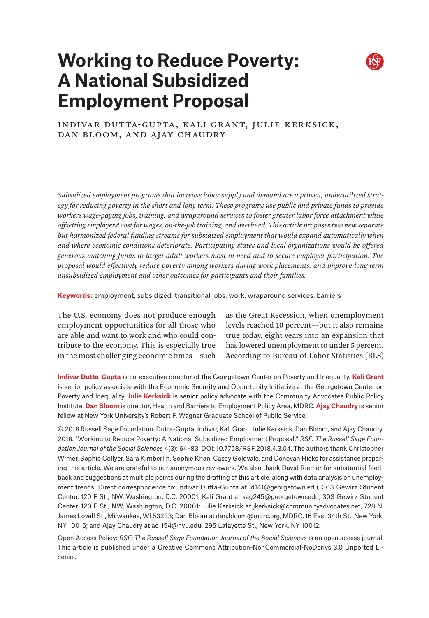# **Working to Reduce Poverty: A National Subsidized Employment Proposal**



Indivar Dutta-Gupta, Kali Grant, Julie Kerksick, Dan Bloom, and Ajay Chaudry

*Subsidized employment programs that increase labor supply and demand are a proven, underutilized strategy for reducing poverty in the short and long term. These programs use public and private funds to provide workers wage-paying jobs, training, and wraparound services to foster greater labor force attachment while offsetting employers' cost for wages, on-the-job training, and overhead. This article proposes two new separate but harmonized federal funding streams for subsidized employment that would expand automatically when and where economic conditions deteriorate. Participating states and local organizations would be offered generous matching funds to target adult workers most in need and to secure employer participation. The proposal would effectively reduce poverty among workers during work placements, and improve long-term unsubsidized employment and other outcomes for participants and their families.*

**Keywords:** employment, subsidized, transitional jobs, work, wraparound services, barriers

The U.S. economy does not produce enough employment opportunities for all those who are able and want to work and who could contribute to the economy. This is especially true in the most challenging economic times—such

as the Great Recession, when unemployment levels reached 10 percent—but it also remains true today, eight years into an expansion that has lowered unemployment to under 5 percent. According to Bureau of Labor Statistics (BLS)

**Indivar Dutta-Gupta** is co-executive director of the Georgetown Center on Poverty and Inequality. **Kali Grant** is senior policy associate with the Economic Security and Opportunity Initiative at the Georgetown Center on Poverty and Inequality. **Julie Kerksick** is senior policy advocate with the Community Advocates Public Policy Institute. **Dan Bloom** is director, Health and Barriers to Employment Policy Area, MDRC. **Ajay Chaudry** is senior fellow at New York University's Robert F. Wagner Graduate School of Public Service.

© 2018 Russell Sage Foundation. Dutta-Gupta, Indivar, Kali Grant, Julie Kerksick, Dan Bloom, and Ajay Chaudry. 2018. "Working to Reduce Poverty: A National Subsidized Employment Proposal." *RSF: The Russell Sage Foundation Journal of the Social Sciences* 4(3): 64–83. DOI: 10.7758/RSF.2018.4.3.04. The authors thank Christopher Wimer, Sophie Collyer, Sara Kimberlin, Sophie Khan, Casey Goldvale, and Donovan Hicks for assistance preparing this article. We are grateful to our anonymous reviewers. We also thank David Riemer for substantial feedback and suggestions at multiple points during the drafting of this article, along with data analysis on unemployment trends. Direct correspondence to: Indivar Dutta-Gupta at id141@georgetown.edu, 303 Gewirz Student Center, 120 F St., NW, Washington, D.C. 20001; Kali Grant at kag245@georgetown.edu, 303 Gewirz Student Center, 120 F St., NW, Washington, D.C. 20001; Julie Kerksick at jkerksick@communityadvocates.net, 728 N. James Lovell St., Milwaukee, WI 53233; Dan Bloom at dan.bloom@mdrc.org, MDRC, 16 East 34th St., New York, NY 10016; and Ajay Chaudry at ac1154@nyu.edu, 295 Lafayette St., New York, NY 10012.

Open Access Policy: *RSF: The Russell Sage Foundation Journal of the Social Sciences* is an open access journal. This article is published under a Creative Commons Attribution-NonCommercial-NoDerivs 3.0 Unported License.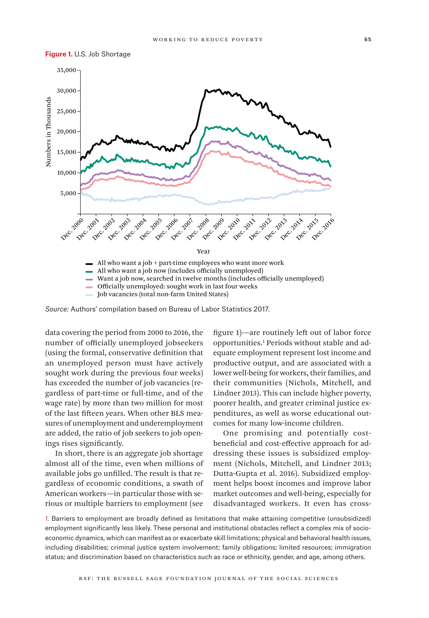

**Figure 1.** U.S. Job Shortage

*Source:* Authors' compilation based on Bureau of Labor Statistics 2017.

data covering the period from 2000 to 2016, the number of officially unemployed jobseekers (using the formal, conservative definition that an unemployed person must have actively sought work during the previous four weeks) has exceeded the number of job vacancies (regardless of part-time or full-time, and of the wage rate) by more than two million for most of the last fifteen years. When other BLS measures of unemployment and underemployment are added, the ratio of job seekers to job openings rises significantly.

In short, there is an aggregate job shortage almost all of the time, even when millions of available jobs go unfilled. The result is that regardless of economic conditions, a swath of American workers—in particular those with serious or multiple barriers to employment (see figure 1)—are routinely left out of labor force opportunities.<sup>1</sup> Periods without stable and adequate employment represent lost income and productive output, and are associated with a lower well-being for workers, their families, and their communities (Nichols, Mitchell, and Lindner 2013). This can include higher poverty, poorer health, and greater criminal justice expenditures, as well as worse educational outcomes for many low-income children.

One promising and potentially costbeneficial and cost-effective approach for addressing these issues is subsidized employment (Nichols, Mitchell, and Lindner 2013; Dutta-Gupta et al. 2016). Subsidized employment helps boost incomes and improve labor market outcomes and well-being, especially for disadvantaged workers. It even has cross-

1. Barriers to employment are broadly defined as limitations that make attaining competitive (unsubsidized) employment significantly less likely. These personal and institutional obstacles reflect a complex mix of socioeconomic dynamics, which can manifest as or exacerbate skill limitations; physical and behavioral health issues, including disabilities; criminal justice system involvement; family obligations; limited resources; immigration status; and discrimination based on characteristics such as race or ethnicity, gender, and age, among others.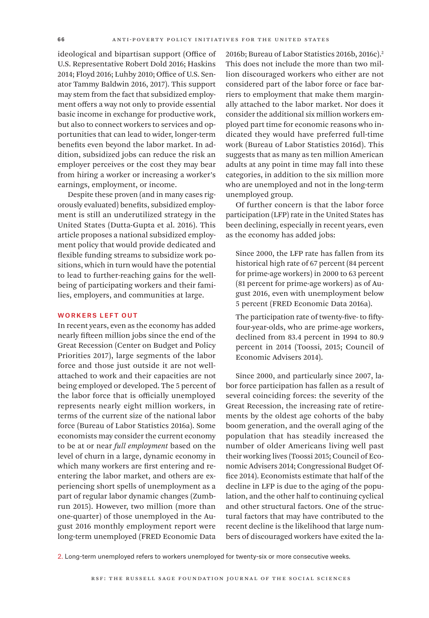ideological and bipartisan support (Office of U.S. Representative Robert Dold 2016; Haskins 2014; Floyd 2016; Luhby 2010; Office of U.S. Senator Tammy Baldwin 2016, 2017). This support may stem from the fact that subsidized employment offers a way not only to provide essential basic income in exchange for productive work, but also to connect workers to services and opportunities that can lead to wider, longer-term benefits even beyond the labor market. In addition, subsidized jobs can reduce the risk an employer perceives or the cost they may bear from hiring a worker or increasing a worker's earnings, employment, or income.

Despite these proven (and in many cases rigorously evaluated) benefits, subsidized employment is still an underutilized strategy in the United States (Dutta-Gupta et al. 2016). This article proposes a national subsidized employment policy that would provide dedicated and flexible funding streams to subsidize work positions, which in turn would have the potential to lead to further-reaching gains for the wellbeing of participating workers and their families, employers, and communities at large.

## WORKERS LEFT OUT

In recent years, even as the economy has added nearly fifteen million jobs since the end of the Great Recession (Center on Budget and Policy Priorities 2017), large segments of the labor force and those just outside it are not wellattached to work and their capacities are not being employed or developed. The 5 percent of the labor force that is officially unemployed represents nearly eight million workers, in terms of the current size of the national labor force (Bureau of Labor Statistics 2016a). Some economists may consider the current economy to be at or near *full employment* based on the level of churn in a large, dynamic economy in which many workers are first entering and reentering the labor market, and others are experiencing short spells of unemployment as a part of regular labor dynamic changes (Zumbrun 2015). However, two million (more than one-quarter) of those unemployed in the August 2016 monthly employment report were long-term unemployed (FRED Economic Data

2016b; Bureau of Labor Statistics 2016b, 2016c).<sup>2</sup> This does not include the more than two million discouraged workers who either are not considered part of the labor force or face barriers to employment that make them marginally attached to the labor market. Nor does it consider the additional six million workers employed part time for economic reasons who indicated they would have preferred full-time work (Bureau of Labor Statistics 2016d). This suggests that as many as ten million American adults at any point in time may fall into these categories, in addition to the six million more who are unemployed and not in the long-term unemployed group.

Of further concern is that the labor force participation (LFP) rate in the United States has been declining, especially in recent years, even as the economy has added jobs:

Since 2000, the LFP rate has fallen from its historical high rate of 67 percent (84 percent for prime-age workers) in 2000 to 63 percent (81 percent for prime-age workers) as of August 2016, even with unemployment below 5 percent (FRED Economic Data 2016a).

The participation rate of twenty-five- to fiftyfour-year-olds, who are prime-age workers, declined from 83.4 percent in 1994 to 80.9 percent in 2014 (Toossi, 2015; Council of Economic Advisers 2014).

Since 2000, and particularly since 2007, labor force participation has fallen as a result of several coinciding forces: the severity of the Great Recession, the increasing rate of retirements by the oldest age cohorts of the baby boom generation, and the overall aging of the population that has steadily increased the number of older Americans living well past their working lives (Toossi 2015; Council of Economic Advisers 2014; Congressional Budget Office 2014). Economists estimate that half of the decline in LFP is due to the aging of the population, and the other half to continuing cyclical and other structural factors. One of the structural factors that may have contributed to the recent decline is the likelihood that large numbers of discouraged workers have exited the la-

2. Long-term unemployed refers to workers unemployed for twenty-six or more consecutive weeks.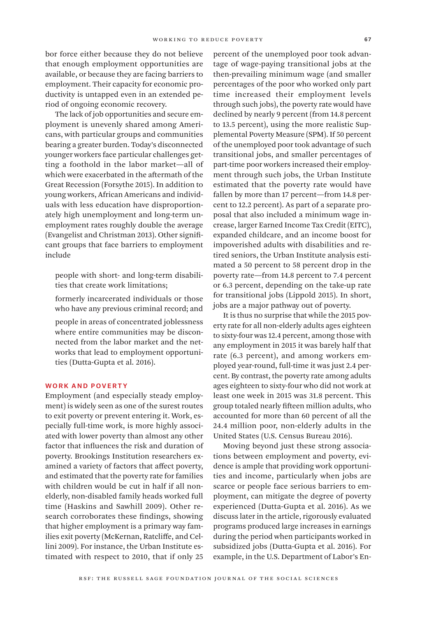bor force either because they do not believe that enough employment opportunities are available, or because they are facing barriers to employment. Their capacity for economic productivity is untapped even in an extended period of ongoing economic recovery.

The lack of job opportunities and secure employment is unevenly shared among Americans, with particular groups and communities bearing a greater burden. Today's disconnected younger workers face particular challenges getting a foothold in the labor market—all of which were exacerbated in the aftermath of the Great Recession (Forsythe 2015). In addition to young workers, African Americans and individuals with less education have disproportionately high unemployment and long-term unemployment rates roughly double the average (Evangelist and Christman 2013). Other significant groups that face barriers to employment include

people with short- and long-term disabilities that create work limitations;

formerly incarcerated individuals or those who have any previous criminal record; and

people in areas of concentrated joblessness where entire communities may be disconnected from the labor market and the networks that lead to employment opportunities (Dutta-Gupta et al. 2016).

#### WORK AND POVERTY

Employment (and especially steady employment) is widely seen as one of the surest routes to exit poverty or prevent entering it. Work, especially full-time work, is more highly associated with lower poverty than almost any other factor that influences the risk and duration of poverty. Brookings Institution researchers examined a variety of factors that affect poverty, and estimated that the poverty rate for families with children would be cut in half if all nonelderly, non-disabled family heads worked full time (Haskins and Sawhill 2009). Other research corroborates these findings, showing that higher employment is a primary way families exit poverty (McKernan, Ratcliffe, and Cellini 2009). For instance, the Urban Institute estimated with respect to 2010, that if only 25

percent of the unemployed poor took advantage of wage-paying transitional jobs at the then-prevailing minimum wage (and smaller percentages of the poor who worked only part time increased their employment levels through such jobs), the poverty rate would have declined by nearly 9 percent (from 14.8 percent to 13.5 percent), using the more realistic Supplemental Poverty Measure (SPM). If 50 percent of the unemployed poor took advantage of such transitional jobs, and smaller percentages of part-time poor workers increased their employment through such jobs, the Urban Institute estimated that the poverty rate would have fallen by more than 17 percent—from 14.8 percent to 12.2 percent). As part of a separate proposal that also included a minimum wage increase, larger Earned Income Tax Credit (EITC), expanded childcare, and an income boost for impoverished adults with disabilities and retired seniors, the Urban Institute analysis estimated a 50 percent to 58 percent drop in the poverty rate—from 14.8 percent to 7.4 percent or 6.3 percent, depending on the take-up rate for transitional jobs (Lippold 2015). In short, jobs are a major pathway out of poverty.

It is thus no surprise that while the 2015 poverty rate for all non-elderly adults ages eighteen to sixty-four was 12.4 percent, among those with any employment in 2015 it was barely half that rate (6.3 percent), and among workers employed year-round, full-time it was just 2.4 percent. By contrast, the poverty rate among adults ages eighteen to sixty-four who did not work at least one week in 2015 was 31.8 percent. This group totaled nearly fifteen million adults, who accounted for more than 60 percent of all the 24.4 million poor, non-elderly adults in the United States (U.S. Census Bureau 2016).

Moving beyond just these strong associations between employment and poverty, evidence is ample that providing work opportunities and income, particularly when jobs are scarce or people face serious barriers to employment, can mitigate the degree of poverty experienced (Dutta-Gupta et al. 2016). As we discuss later in the article, rigorously evaluated programs produced large increases in earnings during the period when participants worked in subsidized jobs (Dutta-Gupta et al. 2016). For example, in the U.S. Department of Labor's En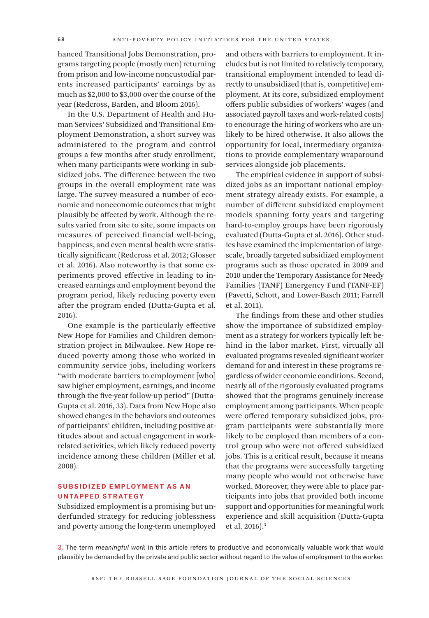hanced Transitional Jobs Demonstration, programs targeting people (mostly men) returning from prison and low-income noncustodial parents increased participants' earnings by as much as \$2,000 to \$3,000 over the course of the year (Redcross, Barden, and Bloom 2016).

In the U.S. Department of Health and Human Services' Subsidized and Transitional Employment Demonstration, a short survey was administered to the program and control groups a few months after study enrollment, when many participants were working in subsidized jobs. The difference between the two groups in the overall employment rate was large. The survey measured a number of economic and noneconomic outcomes that might plausibly be affected by work. Although the results varied from site to site, some impacts on measures of perceived financial well-being, happiness, and even mental health were statistically significant (Redcross et al. 2012; Glosser et al. 2016). Also noteworthy is that some experiments proved effective in leading to increased earnings and employment beyond the program period, likely reducing poverty even after the program ended (Dutta-Gupta et al. 2016).

One example is the particularly effective New Hope for Families and Children demonstration project in Milwaukee. New Hope reduced poverty among those who worked in community service jobs, including workers "with moderate barriers to employment [who] saw higher employment, earnings, and income through the five-year follow-up period" (Dutta-Gupta et al. 2016, 33). Data from New Hope also showed changes in the behaviors and outcomes of participants' children, including positive attitudes about and actual engagement in workrelated activities, which likely reduced poverty incidence among these children (Miller et al. 2008).

# Subsidized Employment as an Untapped Strategy

Subsidized employment is a promising but underfunded strategy for reducing joblessness and poverty among the long-term unemployed and others with barriers to employment. It includes but is not limited to relatively temporary, transitional employment intended to lead directly to unsubsidized (that is, competitive) employment. At its core, subsidized employment offers public subsidies of workers' wages (and associated payroll taxes and work-related costs) to encourage the hiring of workers who are unlikely to be hired otherwise. It also allows the opportunity for local, intermediary organizations to provide complementary wraparound services alongside job placements.

The empirical evidence in support of subsidized jobs as an important national employment strategy already exists. For example, a number of different subsidized employment models spanning forty years and targeting hard-to-employ groups have been rigorously evaluated (Dutta-Gupta et al. 2016). Other studies have examined the implementation of largescale, broadly targeted subsidized employment programs such as those operated in 2009 and 2010 under the Temporary Assistance for Needy Families (TANF) Emergency Fund (TANF-EF) (Pavetti, Schott, and Lower-Basch 2011; Farrell et al. 2011).

The findings from these and other studies show the importance of subsidized employment as a strategy for workers typically left behind in the labor market. First, virtually all evaluated programs revealed significant worker demand for and interest in these programs regardless of wider economic conditions. Second, nearly all of the rigorously evaluated programs showed that the programs genuinely increase employment among participants. When people were offered temporary subsidized jobs, program participants were substantially more likely to be employed than members of a control group who were not offered subsidized jobs. This is a critical result, because it means that the programs were successfully targeting many people who would not otherwise have worked. Moreover, they were able to place participants into jobs that provided both income support and opportunities for meaningful work experience and skill acquisition (Dutta-Gupta et al. 2016).3

3. The term *meaningful work* in this article refers to productive and economically valuable work that would plausibly be demanded by the private and public sector without regard to the value of employment to the worker.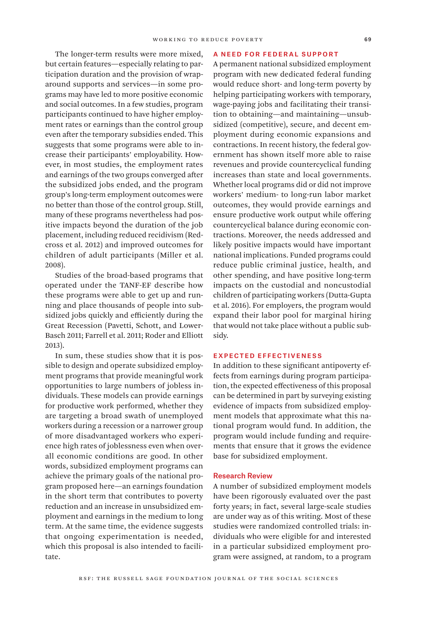The longer-term results were more mixed, but certain features—especially relating to participation duration and the provision of wraparound supports and services—in some programs may have led to more positive economic and social outcomes. In a few studies, program participants continued to have higher employment rates or earnings than the control group even after the temporary subsidies ended. This suggests that some programs were able to increase their participants' employability. However, in most studies, the employment rates and earnings of the two groups converged after the subsidized jobs ended, and the program group's long-term employment outcomes were no better than those of the control group. Still, many of these programs nevertheless had positive impacts beyond the duration of the job placement, including reduced recidivism (Redcross et al. 2012) and improved outcomes for children of adult participants (Miller et al. 2008).

Studies of the broad-based programs that operated under the TANF-EF describe how these programs were able to get up and running and place thousands of people into subsidized jobs quickly and efficiently during the Great Recession (Pavetti, Schott, and Lower-Basch 2011; Farrell et al. 2011; Roder and Elliott 2013).

In sum, these studies show that it is possible to design and operate subsidized employment programs that provide meaningful work opportunities to large numbers of jobless individuals. These models can provide earnings for productive work performed, whether they are targeting a broad swath of unemployed workers during a recession or a narrower group of more disadvantaged workers who experience high rates of joblessness even when overall economic conditions are good. In other words, subsidized employment programs can achieve the primary goals of the national program proposed here—an earnings foundation in the short term that contributes to poverty reduction and an increase in unsubsidized employment and earnings in the medium to long term. At the same time, the evidence suggests that ongoing experimentation is needed, which this proposal is also intended to facilitate.

### A Need for Federal Support

A permanent national subsidized employment program with new dedicated federal funding would reduce short- and long-term poverty by helping participating workers with temporary, wage-paying jobs and facilitating their transition to obtaining—and maintaining—unsubsidized (competitive), secure, and decent employment during economic expansions and contractions. In recent history, the federal government has shown itself more able to raise revenues and provide countercyclical funding increases than state and local governments. Whether local programs did or did not improve workers' medium- to long-run labor market outcomes, they would provide earnings and ensure productive work output while offering countercyclical balance during economic contractions. Moreover, the needs addressed and likely positive impacts would have important national implications. Funded programs could reduce public criminal justice, health, and other spending, and have positive long-term impacts on the custodial and noncustodial children of participating workers (Dutta-Gupta et al. 2016). For employers, the program would expand their labor pool for marginal hiring that would not take place without a public subsidy.

# Expected Effectiveness

In addition to these significant antipoverty effects from earnings during program participation, the expected effectiveness of this proposal can be determined in part by surveying existing evidence of impacts from subsidized employment models that approximate what this national program would fund. In addition, the program would include funding and requirements that ensure that it grows the evidence base for subsidized employment.

## Research Review

A number of subsidized employment models have been rigorously evaluated over the past forty years; in fact, several large-scale studies are under way as of this writing. Most of these studies were randomized controlled trials: individuals who were eligible for and interested in a particular subsidized employment program were assigned, at random, to a program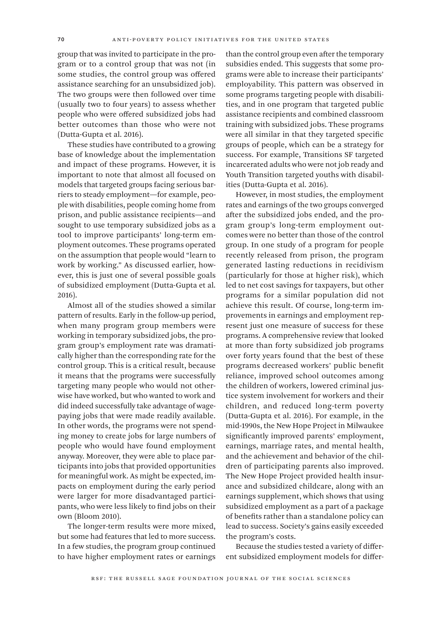group that was invited to participate in the program or to a control group that was not (in some studies, the control group was offered assistance searching for an unsubsidized job). The two groups were then followed over time (usually two to four years) to assess whether people who were offered subsidized jobs had better outcomes than those who were not (Dutta-Gupta et al. 2016).

These studies have contributed to a growing base of knowledge about the implementation and impact of these programs. However, it is important to note that almost all focused on models that targeted groups facing serious barriers to steady employment—for example, people with disabilities, people coming home from prison, and public assistance recipients—and sought to use temporary subsidized jobs as a tool to improve participants' long-term employment outcomes. These programs operated on the assumption that people would "learn to work by working." As discussed earlier, however, this is just one of several possible goals of subsidized employment (Dutta-Gupta et al. 2016).

Almost all of the studies showed a similar pattern of results. Early in the follow-up period, when many program group members were working in temporary subsidized jobs, the program group's employment rate was dramatically higher than the corresponding rate for the control group. This is a critical result, because it means that the programs were successfully targeting many people who would not otherwise have worked, but who wanted to work and did indeed successfully take advantage of wagepaying jobs that were made readily available. In other words, the programs were not spending money to create jobs for large numbers of people who would have found employment anyway. Moreover, they were able to place participants into jobs that provided opportunities for meaningful work. As might be expected, impacts on employment during the early period were larger for more disadvantaged participants, who were less likely to find jobs on their own (Bloom 2010).

The longer-term results were more mixed, but some had features that led to more success. In a few studies, the program group continued to have higher employment rates or earnings than the control group even after the temporary subsidies ended. This suggests that some programs were able to increase their participants' employability. This pattern was observed in some programs targeting people with disabilities, and in one program that targeted public assistance recipients and combined classroom training with subsidized jobs. These programs were all similar in that they targeted specific groups of people, which can be a strategy for success. For example, Transitions SF targeted incarcerated adults who were not job ready and Youth Transition targeted youths with disabilities (Dutta-Gupta et al. 2016).

However, in most studies, the employment rates and earnings of the two groups converged after the subsidized jobs ended, and the program group's long-term employment outcomes were no better than those of the control group. In one study of a program for people recently released from prison, the program generated lasting reductions in recidivism (particularly for those at higher risk), which led to net cost savings for taxpayers, but other programs for a similar population did not achieve this result. Of course, long-term improvements in earnings and employment represent just one measure of success for these programs. A comprehensive review that looked at more than forty subsidized job programs over forty years found that the best of these programs decreased workers' public benefit reliance, improved school outcomes among the children of workers, lowered criminal justice system involvement for workers and their children, and reduced long-term poverty (Dutta-Gupta et al. 2016). For example, in the mid-1990s, the New Hope Project in Milwaukee significantly improved parents' employment, earnings, marriage rates, and mental health, and the achievement and behavior of the children of participating parents also improved. The New Hope Project provided health insurance and subsidized childcare, along with an earnings supplement, which shows that using subsidized employment as a part of a package of benefits rather than a standalone policy can lead to success. Society's gains easily exceeded the program's costs.

Because the studies tested a variety of different subsidized employment models for differ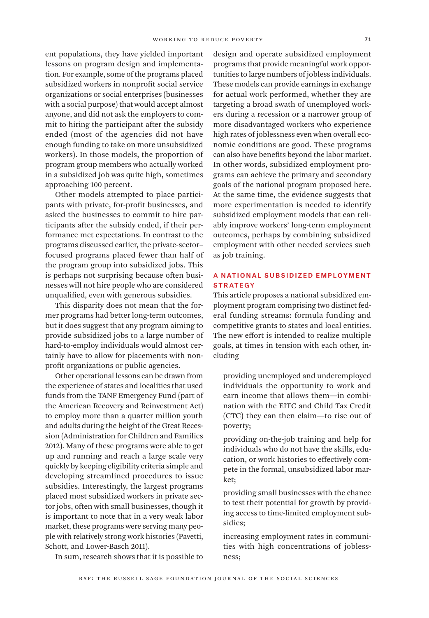ent populations, they have yielded important lessons on program design and implementation. For example, some of the programs placed subsidized workers in nonprofit social service organizations or social enterprises (businesses with a social purpose) that would accept almost anyone, and did not ask the employers to commit to hiring the participant after the subsidy ended (most of the agencies did not have enough funding to take on more unsubsidized workers). In those models, the proportion of program group members who actually worked in a subsidized job was quite high, sometimes approaching 100 percent.

Other models attempted to place participants with private, for-profit businesses, and asked the businesses to commit to hire participants after the subsidy ended, if their performance met expectations. In contrast to the programs discussed earlier, the private-sector– focused programs placed fewer than half of the program group into subsidized jobs. This is perhaps not surprising because often businesses will not hire people who are considered unqualified, even with generous subsidies.

This disparity does not mean that the former programs had better long-term outcomes, but it does suggest that any program aiming to provide subsidized jobs to a large number of hard-to-employ individuals would almost certainly have to allow for placements with nonprofit organizations or public agencies.

Other operational lessons can be drawn from the experience of states and localities that used funds from the TANF Emergency Fund (part of the American Recovery and Reinvestment Act) to employ more than a quarter million youth and adults during the height of the Great Recession (Administration for Children and Families 2012). Many of these programs were able to get up and running and reach a large scale very quickly by keeping eligibility criteria simple and developing streamlined procedures to issue subsidies. Interestingly, the largest programs placed most subsidized workers in private sector jobs, often with small businesses, though it is important to note that in a very weak labor market, these programs were serving many people with relatively strong work histories (Pavetti, Schott, and Lower-Basch 2011).

In sum, research shows that it is possible to

design and operate subsidized employment programs that provide meaningful work opportunities to large numbers of jobless individuals. These models can provide earnings in exchange for actual work performed, whether they are targeting a broad swath of unemployed workers during a recession or a narrower group of more disadvantaged workers who experience high rates of joblessness even when overall economic conditions are good. These programs can also have benefits beyond the labor market. In other words, subsidized employment programs can achieve the primary and secondary goals of the national program proposed here. At the same time, the evidence suggests that more experimentation is needed to identify subsidized employment models that can reliably improve workers' long-term employment outcomes, perhaps by combining subsidized employment with other needed services such as job training.

# A National Subsidized Employment **STRATEGY**

This article proposes a national subsidized employment program comprising two distinct federal funding streams: formula funding and competitive grants to states and local entities. The new effort is intended to realize multiple goals, at times in tension with each other, including

providing unemployed and underemployed individuals the opportunity to work and earn income that allows them—in combination with the EITC and Child Tax Credit (CTC) they can then claim—to rise out of poverty;

providing on-the-job training and help for individuals who do not have the skills, education, or work histories to effectively compete in the formal, unsubsidized labor market;

providing small businesses with the chance to test their potential for growth by providing access to time-limited employment subsidies;

increasing employment rates in communities with high concentrations of joblessness;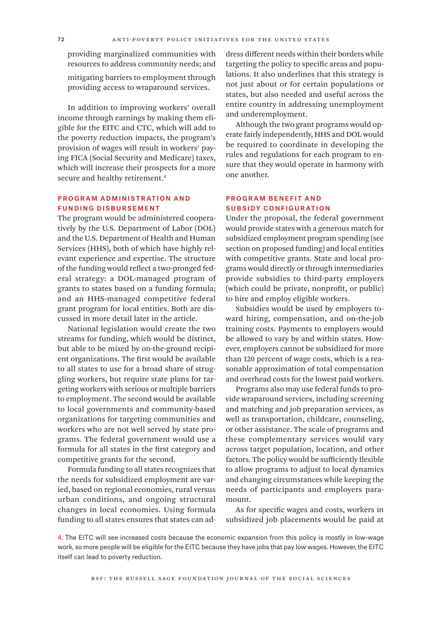providing marginalized communities with resources to address community needs; and

mitigating barriers to employment through providing access to wraparound services.

In addition to improving workers' overall income through earnings by making them eligible for the EITC and CTC, which will add to the poverty reduction impacts, the program's provision of wages will result in workers' paying FICA (Social Security and Medicare) taxes, which will increase their prospects for a more secure and healthy retirement.<sup>4</sup>

# Program Administr ation and Funding Disbursement

The program would be administered cooperatively by the U.S. Department of Labor (DOL) and the U.S. Department of Health and Human Services (HHS), both of which have highly relevant experience and expertise. The structure of the funding would reflect a two-pronged federal strategy: a DOL-managed program of grants to states based on a funding formula; and an HHS-managed competitive federal grant program for local entities. Both are discussed in more detail later in the article.

National legislation would create the two streams for funding, which would be distinct, but able to be mixed by on-the-ground recipient organizations. The first would be available to all states to use for a broad share of struggling workers, but require state plans for targeting workers with serious or multiple barriers to employment. The second would be available to local governments and community-based organizations for targeting communities and workers who are not well served by state programs. The federal government would use a formula for all states in the first category and competitive grants for the second.

Formula funding to all states recognizes that the needs for subsidized employment are varied, based on regional economies, rural versus urban conditions, and ongoing structural changes in local economies. Using formula funding to all states ensures that states can address different needs within their borders while targeting the policy to specific areas and populations. It also underlines that this strategy is not just about or for certain populations or states, but also needed and useful across the entire country in addressing unemployment and underemployment.

Although the two grant programs would operate fairly independently, HHS and DOL would be required to coordinate in developing the rules and regulations for each program to ensure that they would operate in harmony with one another.

# Program Benefit and Subsidy Configuration

Under the proposal, the federal government would provide states with a generous match for subsidized employment program spending (see section on proposed funding) and local entities with competitive grants. State and local programs would directly or through intermediaries provide subsidies to third-party employers (which could be private, nonprofit, or public) to hire and employ eligible workers.

Subsidies would be used by employers toward hiring, compensation, and on-the-job training costs. Payments to employers would be allowed to vary by and within states. However, employers cannot be subsidized for more than 120 percent of wage costs, which is a reasonable approximation of total compensation and overhead costs for the lowest paid workers.

Programs also may use federal funds to provide wraparound services, including screening and matching and job preparation services, as well as transportation, childcare, counseling, or other assistance. The scale of programs and these complementary services would vary across target population, location, and other factors. The policy would be sufficiently flexible to allow programs to adjust to local dynamics and changing circumstances while keeping the needs of participants and employers paramount.

As for specific wages and costs, workers in subsidized job placements would be paid at

4. The EITC will see increased costs because the economic expansion from this policy is mostly in low-wage work, so more people will be eligible for the EITC because they have jobs that pay low wages. However, the EITC itself can lead to poverty reduction.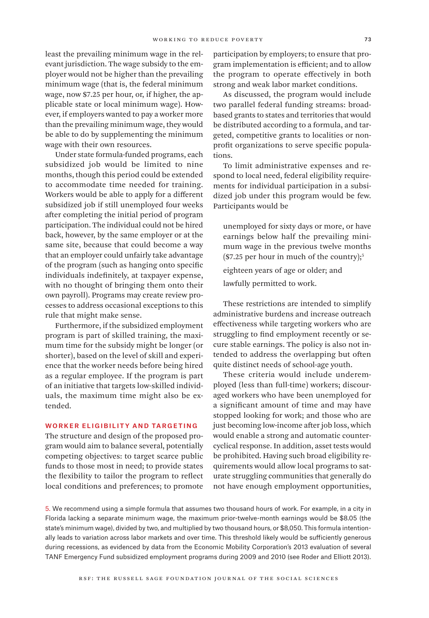least the prevailing minimum wage in the relevant jurisdiction. The wage subsidy to the employer would not be higher than the prevailing minimum wage (that is, the federal minimum wage, now \$7.25 per hour, or, if higher, the applicable state or local minimum wage). However, if employers wanted to pay a worker more than the prevailing minimum wage, they would be able to do by supplementing the minimum wage with their own resources.

Under state formula-funded programs, each subsidized job would be limited to nine months, though this period could be extended to accommodate time needed for training. Workers would be able to apply for a different subsidized job if still unemployed four weeks after completing the initial period of program participation. The individual could not be hired back, however, by the same employer or at the same site, because that could become a way that an employer could unfairly take advantage of the program (such as hanging onto specific individuals indefinitely, at taxpayer expense, with no thought of bringing them onto their own payroll). Programs may create review processes to address occasional exceptions to this rule that might make sense.

Furthermore, if the subsidized employment program is part of skilled training, the maximum time for the subsidy might be longer (or shorter), based on the level of skill and experience that the worker needs before being hired as a regular employee. If the program is part of an initiative that targets low-skilled individuals, the maximum time might also be extended.

## Worker Eligibility and Targeting

The structure and design of the proposed program would aim to balance several, potentially competing objectives: to target scarce public funds to those most in need; to provide states the flexibility to tailor the program to reflect local conditions and preferences; to promote

participation by employers; to ensure that program implementation is efficient; and to allow the program to operate effectively in both strong and weak labor market conditions.

As discussed, the program would include two parallel federal funding streams: broadbased grants to states and territories that would be distributed according to a formula, and targeted, competitive grants to localities or nonprofit organizations to serve specific populations.

To limit administrative expenses and respond to local need, federal eligibility requirements for individual participation in a subsidized job under this program would be few. Participants would be

unemployed for sixty days or more, or have earnings below half the prevailing minimum wage in the previous twelve months  $($7.25$  per hour in much of the country);<sup>5</sup>

eighteen years of age or older; and

lawfully permitted to work.

These restrictions are intended to simplify administrative burdens and increase outreach effectiveness while targeting workers who are struggling to find employment recently or secure stable earnings. The policy is also not intended to address the overlapping but often quite distinct needs of school-age youth.

These criteria would include underemployed (less than full-time) workers; discouraged workers who have been unemployed for a significant amount of time and may have stopped looking for work; and those who are just becoming low-income after job loss, which would enable a strong and automatic countercyclical response. In addition, asset tests would be prohibited. Having such broad eligibility requirements would allow local programs to saturate struggling communities that generally do not have enough employment opportunities,

5. We recommend using a simple formula that assumes two thousand hours of work. For example, in a city in Florida lacking a separate minimum wage, the maximum prior-twelve-month earnings would be \$8.05 (the state's minimum wage), divided by two, and multiplied by two thousand hours, or \$8,050. This formula intentionally leads to variation across labor markets and over time. This threshold likely would be sufficiently generous during recessions, as evidenced by data from the Economic Mobility Corporation's 2013 evaluation of several TANF Emergency Fund subsidized employment programs during 2009 and 2010 (see Roder and Elliott 2013).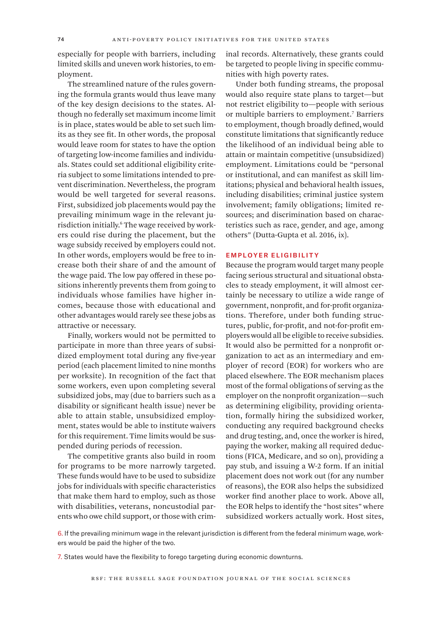especially for people with barriers, including limited skills and uneven work histories, to employment.

The streamlined nature of the rules governing the formula grants would thus leave many of the key design decisions to the states. Although no federally set maximum income limit is in place, states would be able to set such limits as they see fit. In other words, the proposal would leave room for states to have the option of targeting low-income families and individuals. States could set additional eligibility criteria subject to some limitations intended to prevent discrimination. Nevertheless, the program would be well targeted for several reasons. First, subsidized job placements would pay the prevailing minimum wage in the relevant jurisdiction initially.6 The wage received by workers could rise during the placement, but the wage subsidy received by employers could not. In other words, employers would be free to increase both their share of and the amount of the wage paid. The low pay offered in these positions inherently prevents them from going to individuals whose families have higher incomes, because those with educational and other advantages would rarely see these jobs as attractive or necessary.

Finally, workers would not be permitted to participate in more than three years of subsidized employment total during any five-year period (each placement limited to nine months per worksite). In recognition of the fact that some workers, even upon completing several subsidized jobs, may (due to barriers such as a disability or significant health issue) never be able to attain stable, unsubsidized employment, states would be able to institute waivers for this requirement. Time limits would be suspended during periods of recession.

The competitive grants also build in room for programs to be more narrowly targeted. These funds would have to be used to subsidize jobs for individuals with specific characteristics that make them hard to employ, such as those with disabilities, veterans, noncustodial parents who owe child support, or those with criminal records. Alternatively, these grants could be targeted to people living in specific communities with high poverty rates.

Under both funding streams, the proposal would also require state plans to target—but not restrict eligibility to—people with serious or multiple barriers to employment.7 Barriers to employment, though broadly defined, would constitute limitations that significantly reduce the likelihood of an individual being able to attain or maintain competitive (unsubsidized) employment. Limitations could be "personal or institutional, and can manifest as skill limitations; physical and behavioral health issues, including disabilities; criminal justice system involvement; family obligations; limited resources; and discrimination based on characteristics such as race, gender, and age, among others" (Dutta-Gupta et al. 2016, ix).

## Employer Eligibility

Because the program would target many people facing serious structural and situational obstacles to steady employment, it will almost certainly be necessary to utilize a wide range of government, nonprofit, and for-profit organizations. Therefore, under both funding structures, public, for-profit, and not-for-profit employers would all be eligible to receive subsidies. It would also be permitted for a nonprofit organization to act as an intermediary and employer of record (EOR) for workers who are placed elsewhere. The EOR mechanism places most of the formal obligations of serving as the employer on the nonprofit organization—such as determining eligibility, providing orientation, formally hiring the subsidized worker, conducting any required background checks and drug testing, and, once the worker is hired, paying the worker, making all required deductions (FICA, Medicare, and so on), providing a pay stub, and issuing a W-2 form. If an initial placement does not work out (for any number of reasons), the EOR also helps the subsidized worker find another place to work. Above all, the EOR helps to identify the "host sites" where subsidized workers actually work. Host sites,

6. If the prevailing minimum wage in the relevant jurisdiction is different from the federal minimum wage, workers would be paid the higher of the two.

7. States would have the flexibility to forego targeting during economic downturns.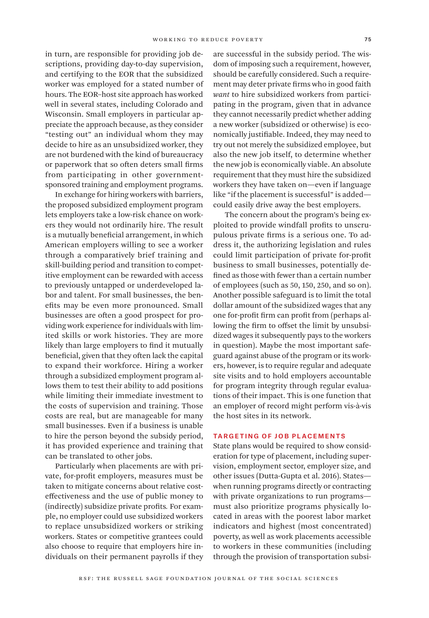in turn, are responsible for providing job descriptions, providing day-to-day supervision, and certifying to the EOR that the subsidized worker was employed for a stated number of hours. The EOR–host site approach has worked well in several states, including Colorado and Wisconsin. Small employers in particular appreciate the approach because, as they consider "testing out" an individual whom they may decide to hire as an unsubsidized worker, they are not burdened with the kind of bureaucracy or paperwork that so often deters small firms from participating in other governmentsponsored training and employment programs.

In exchange for hiring workers with barriers, the proposed subsidized employment program lets employers take a low-risk chance on workers they would not ordinarily hire. The result is a mutually beneficial arrangement, in which American employers willing to see a worker through a comparatively brief training and skill-building period and transition to competitive employment can be rewarded with access to previously untapped or underdeveloped labor and talent. For small businesses, the benefits may be even more pronounced. Small businesses are often a good prospect for providing work experience for individuals with limited skills or work histories. They are more likely than large employers to find it mutually beneficial, given that they often lack the capital to expand their workforce. Hiring a worker through a subsidized employment program allows them to test their ability to add positions while limiting their immediate investment to the costs of supervision and training. Those costs are real, but are manageable for many small businesses. Even if a business is unable to hire the person beyond the subsidy period, it has provided experience and training that can be translated to other jobs.

Particularly when placements are with private, for-profit employers, measures must be taken to mitigate concerns about relative costeffectiveness and the use of public money to (indirectly) subsidize private profits*.* For example, no employer could use subsidized workers to replace unsubsidized workers or striking workers. States or competitive grantees could also choose to require that employers hire individuals on their permanent payrolls if they

are successful in the subsidy period. The wisdom of imposing such a requirement, however, should be carefully considered. Such a requirement may deter private firms who in good faith *want* to hire subsidized workers from participating in the program, given that in advance they cannot necessarily predict whether adding a new worker (subsidized or otherwise) is economically justifiable. Indeed, they may need to try out not merely the subsidized employee, but also the new job itself, to determine whether the new job is economically viable. An absolute requirement that they must hire the subsidized workers they have taken on—even if language like "if the placement is successful" is added could easily drive away the best employers.

 The concern about the program's being exploited to provide windfall profits to unscrupulous private firms is a serious one. To address it, the authorizing legislation and rules could limit participation of private for-profit business to small businesses, potentially defined as those with fewer than a certain number of employees (such as 50, 150, 250, and so on). Another possible safeguard is to limit the total dollar amount of the subsidized wages that any one for-profit firm can profit from (perhaps allowing the firm to offset the limit by unsubsidized wages it subsequently pays to the workers in question). Maybe the most important safeguard against abuse of the program or its workers, however, is to require regular and adequate site visits and to hold employers accountable for program integrity through regular evaluations of their impact. This is one function that an employer of record might perform vis-à-vis the host sites in its network.

# Targeting of Job Placements

State plans would be required to show consideration for type of placement, including supervision, employment sector, employer size, and other issues (Dutta-Gupta et al. 2016). States when running programs directly or contracting with private organizations to run programs must also prioritize programs physically located in areas with the poorest labor market indicators and highest (most concentrated) poverty, as well as work placements accessible to workers in these communities (including through the provision of transportation subsi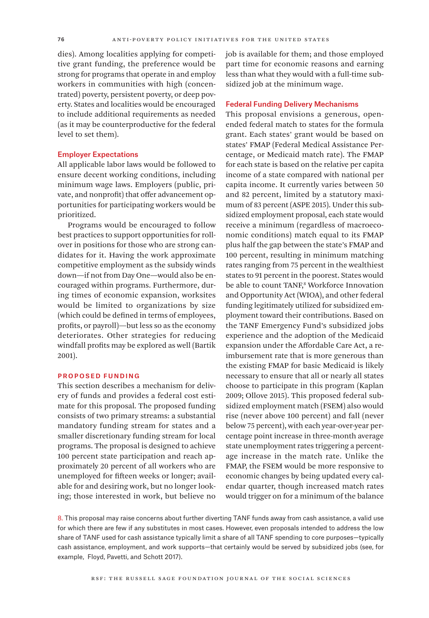dies). Among localities applying for competitive grant funding, the preference would be strong for programs that operate in and employ workers in communities with high (concentrated) poverty, persistent poverty, or deep poverty. States and localities would be encouraged to include additional requirements as needed (as it may be counterproductive for the federal level to set them).

#### Employer Expectations

All applicable labor laws would be followed to ensure decent working conditions, including minimum wage laws. Employers (public, private, and nonprofit) that offer advancement opportunities for participating workers would be prioritized.

Programs would be encouraged to follow best practices to support opportunities for rollover in positions for those who are strong candidates for it. Having the work approximate competitive employment as the subsidy winds down—if not from Day One—would also be encouraged within programs. Furthermore, during times of economic expansion, worksites would be limited to organizations by size (which could be defined in terms of employees, profits, or payroll)—but less so as the economy deteriorates. Other strategies for reducing windfall profits may be explored as well (Bartik 2001).

#### Proposed Funding

This section describes a mechanism for delivery of funds and provides a federal cost estimate for this proposal. The proposed funding consists of two primary streams: a substantial mandatory funding stream for states and a smaller discretionary funding stream for local programs. The proposal is designed to achieve 100 percent state participation and reach approximately 20 percent of all workers who are unemployed for fifteen weeks or longer; available for and desiring work, but no longer looking; those interested in work, but believe no

job is available for them; and those employed part time for economic reasons and earning less than what they would with a full-time subsidized job at the minimum wage.

#### Federal Funding Delivery Mechanisms

This proposal envisions a generous, openended federal match to states for the formula grant. Each states' grant would be based on states' FMAP (Federal Medical Assistance Percentage, or Medicaid match rate). The FMAP for each state is based on the relative per capita income of a state compared with national per capita income. It currently varies between 50 and 82 percent, limited by a statutory maximum of 83 percent (ASPE 2015). Under this subsidized employment proposal, each state would receive a minimum (regardless of macroeconomic conditions) match equal to its FMAP plus half the gap between the state's FMAP and 100 percent, resulting in minimum matching rates ranging from 75 percent in the wealthiest states to 91 percent in the poorest. States would be able to count TANF,<sup>8</sup> Workforce Innovation and Opportunity Act (WIOA), and other federal funding legitimately utilized for subsidized employment toward their contributions. Based on the TANF Emergency Fund's subsidized jobs experience and the adoption of the Medicaid expansion under the Affordable Care Act, a reimbursement rate that is more generous than the existing FMAP for basic Medicaid is likely necessary to ensure that all or nearly all states choose to participate in this program (Kaplan 2009; Ollove 2015). This proposed federal subsidized employment match (FSEM) also would rise (never above 100 percent) and fall (never below 75 percent), with each year-over-year percentage point increase in three-month average state unemployment rates triggering a percentage increase in the match rate. Unlike the FMAP, the FSEM would be more responsive to economic changes by being updated every calendar quarter, though increased match rates would trigger on for a minimum of the balance

8. This proposal may raise concerns about further diverting TANF funds away from cash assistance, a valid use for which there are few if any substitutes in most cases. However, even proposals intended to address the low share of TANF used for cash assistance typically limit a share of all TANF spending to core purposes—typically cash assistance, employment, and work supports—that certainly would be served by subsidized jobs (see, for example, Floyd, Pavetti, and Schott 2017).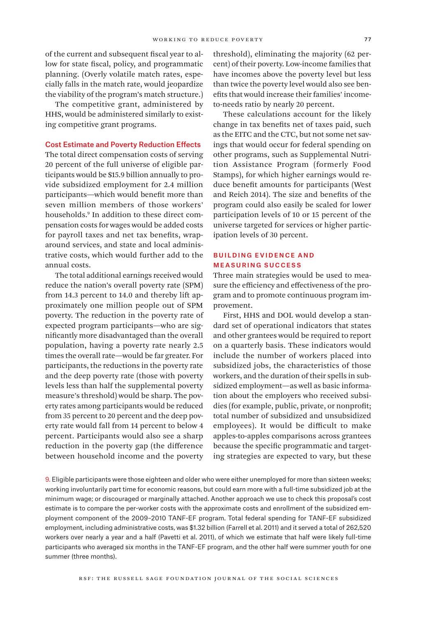of the current and subsequent fiscal year to allow for state fiscal, policy, and programmatic planning. (Overly volatile match rates, especially falls in the match rate, would jeopardize the viability of the program's match structure.)

The competitive grant, administered by HHS, would be administered similarly to existing competitive grant programs.

#### Cost Estimate and Poverty Reduction Effects

The total direct compensation costs of serving 20 percent of the full universe of eligible participants would be \$15.9 billion annually to provide subsidized employment for 2.4 million participants—which would benefit more than seven million members of those workers' households.9 In addition to these direct compensation costs for wages would be added costs for payroll taxes and net tax benefits, wraparound services, and state and local administrative costs, which would further add to the annual costs.

The total additional earnings received would reduce the nation's overall poverty rate (SPM) from 14.3 percent to 14.0 and thereby lift approximately one million people out of SPM poverty. The reduction in the poverty rate of expected program participants—who are significantly more disadvantaged than the overall population, having a poverty rate nearly 2.5 times the overall rate—would be far greater. For participants, the reductions in the poverty rate and the deep poverty rate (those with poverty levels less than half the supplemental poverty measure's threshold) would be sharp. The poverty rates among participants would be reduced from 35 percent to 20 percent and the deep poverty rate would fall from 14 percent to below 4 percent. Participants would also see a sharp reduction in the poverty gap (the difference between household income and the poverty

threshold), eliminating the majority (62 percent) of their poverty. Low-income families that have incomes above the poverty level but less than twice the poverty level would also see benefits that would increase their families' incometo-needs ratio by nearly 20 percent.

These calculations account for the likely change in tax benefits net of taxes paid, such as the EITC and the CTC, but not some net savings that would occur for federal spending on other programs, such as Supplemental Nutrition Assistance Program (formerly Food Stamps), for which higher earnings would reduce benefit amounts for participants (West and Reich 2014). The size and benefits of the program could also easily be scaled for lower participation levels of 10 or 15 percent of the universe targeted for services or higher participation levels of 30 percent.

# Building Evidence and Measuring Success

Three main strategies would be used to measure the efficiency and effectiveness of the program and to promote continuous program improvement.

First, HHS and DOL would develop a standard set of operational indicators that states and other grantees would be required to report on a quarterly basis. These indicators would include the number of workers placed into subsidized jobs, the characteristics of those workers, and the duration of their spells in subsidized employment—as well as basic information about the employers who received subsidies (for example, public, private, or nonprofit; total number of subsidized and unsubsidized employees). It would be difficult to make apples-to-apples comparisons across grantees because the specific programmatic and targeting strategies are expected to vary, but these

9. Eligible participants were those eighteen and older who were either unemployed for more than sixteen weeks; working involuntarily part time for economic reasons, but could earn more with a full-time subsidized job at the minimum wage; or discouraged or marginally attached. Another approach we use to check this proposal's cost estimate is to compare the per-worker costs with the approximate costs and enrollment of the subsidized employment component of the 2009–2010 TANF-EF program. Total federal spending for TANF-EF subsidized employment, including administrative costs, was \$1.32 billion (Farrell et al. 2011) and it served a total of 262,520 workers over nearly a year and a half (Pavetti et al. 2011), of which we estimate that half were likely full-time participants who averaged six months in the TANF-EF program, and the other half were summer youth for one summer (three months).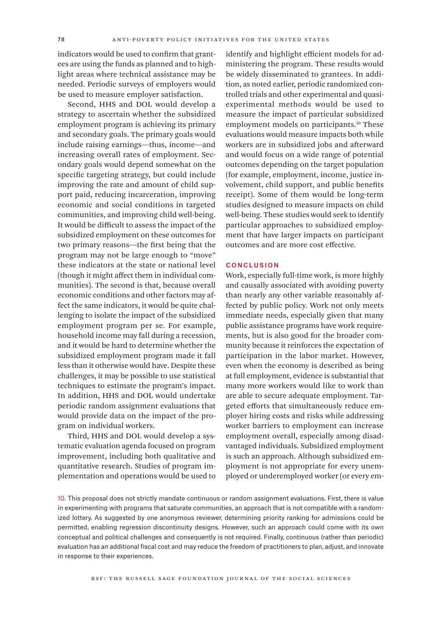indicators would be used to confirm that grantees are using the funds as planned and to highlight areas where technical assistance may be needed. Periodic surveys of employers would be used to measure employer satisfaction.

Second, HHS and DOL would develop a strategy to ascertain whether the subsidized employment program is achieving its primary and secondary goals. The primary goals would include raising earnings—thus, income—and increasing overall rates of employment. Secondary goals would depend somewhat on the specific targeting strategy, but could include improving the rate and amount of child support paid, reducing incarceration, improving economic and social conditions in targeted communities, and improving child well-being. It would be difficult to assess the impact of the subsidized employment on these outcomes for two primary reasons—the first being that the program may not be large enough to "move" these indicators at the state or national level (though it might affect them in individual communities). The second is that, because overall economic conditions and other factors may affect the same indicators, it would be quite challenging to isolate the impact of the subsidized employment program per se. For example, household income may fall during a recession, and it would be hard to determine whether the subsidized employment program made it fall less than it otherwise would have. Despite these challenges, it may be possible to use statistical techniques to estimate the program's impact. In addition, HHS and DOL would undertake periodic random assignment evaluations that would provide data on the impact of the program on individual workers.

Third, HHS and DOL would develop a systematic evaluation agenda focused on program improvement, including both qualitative and quantitative research. Studies of program implementation and operations would be used to identify and highlight efficient models for administering the program. These results would be widely disseminated to grantees. In addition, as noted earlier, periodic randomized controlled trials and other experimental and quasiexperimental methods would be used to measure the impact of particular subsidized employment models on participants.<sup>10</sup> These evaluations would measure impacts both while workers are in subsidized jobs and afterward and would focus on a wide range of potential outcomes depending on the target population (for example, employment, income, justice involvement, child support, and public benefits receipt). Some of them would be long-term studies designed to measure impacts on child well-being. These studies would seek to identify particular approaches to subsidized employment that have larger impacts on participant outcomes and are more cost effective.

## **CONCLUSION**

Work, especially full-time work, is more highly and causally associated with avoiding poverty than nearly any other variable reasonably affected by public policy. Work not only meets immediate needs, especially given that many public assistance programs have work requirements, but is also good for the broader community because it reinforces the expectation of participation in the labor market. However, even when the economy is described as being at full employment, evidence is substantial that many more workers would like to work than are able to secure adequate employment. Targeted efforts that simultaneously reduce employer hiring costs and risks while addressing worker barriers to employment can increase employment overall, especially among disadvantaged individuals. Subsidized employment is such an approach. Although subsidized employment is not appropriate for every unemployed or underemployed worker (or every em-

10. This proposal does not strictly mandate continuous or random assignment evaluations. First, there is value in experimenting with programs that saturate communities, an approach that is not compatible with a randomized lottery. As suggested by one anonymous reviewer, determining priority ranking for admissions could be permitted, enabling regression discontinuity designs. However, such an approach could come with its own conceptual and political challenges and consequently is not required. Finally, continuous (rather than periodic) evaluation has an additional fiscal cost and may reduce the freedom of practitioners to plan, adjust, and innovate in response to their experiences.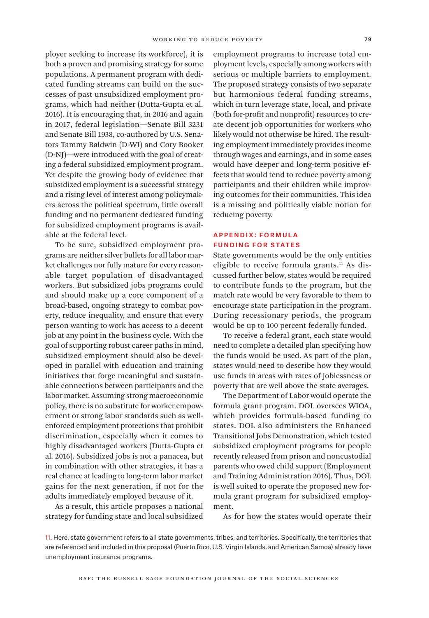ployer seeking to increase its workforce), it is both a proven and promising strategy for some populations. A permanent program with dedicated funding streams can build on the successes of past unsubsidized employment programs, which had neither (Dutta-Gupta et al. 2016). It is encouraging that, in 2016 and again in 2017, federal legislation—Senate Bill 3231 and Senate Bill 1938, co-authored by U.S. Senators Tammy Baldwin (D-WI) and Cory Booker (D-NJ)—were introduced with the goal of creating a federal subsidized employment program. Yet despite the growing body of evidence that subsidized employment is a successful strategy and a rising level of interest among policymakers across the political spectrum, little overall funding and no permanent dedicated funding for subsidized employment programs is available at the federal level.

To be sure, subsidized employment programs are neither silver bullets for all labor market challenges nor fully mature for every reasonable target population of disadvantaged workers. But subsidized jobs programs could and should make up a core component of a broad-based, ongoing strategy to combat poverty, reduce inequality, and ensure that every person wanting to work has access to a decent job at any point in the business cycle. With the goal of supporting robust career paths in mind, subsidized employment should also be developed in parallel with education and training initiatives that forge meaningful and sustainable connections between participants and the labor market. Assuming strong macroeconomic policy, there is no substitute for worker empowerment or strong labor standards such as wellenforced employment protections that prohibit discrimination, especially when it comes to highly disadvantaged workers (Dutta-Gupta et al. 2016). Subsidized jobs is not a panacea, but in combination with other strategies, it has a real chance at leading to long-term labor market gains for the next generation, if not for the adults immediately employed because of it.

As a result, this article proposes a national strategy for funding state and local subsidized employment programs to increase total employment levels, especially among workers with serious or multiple barriers to employment. The proposed strategy consists of two separate but harmonious federal funding streams, which in turn leverage state, local, and private (both for-profit and nonprofit) resources to create decent job opportunities for workers who likely would not otherwise be hired. The resulting employment immediately provides income through wages and earnings, and in some cases would have deeper and long-term positive effects that would tend to reduce poverty among participants and their children while improving outcomes for their communities. This idea is a missing and politically viable notion for reducing poverty.

# Appendix: Formul a Funding for States

State governments would be the only entities eligible to receive formula grants.<sup>11</sup> As discussed further below, states would be required to contribute funds to the program, but the match rate would be very favorable to them to encourage state participation in the program. During recessionary periods, the program would be up to 100 percent federally funded.

To receive a federal grant, each state would need to complete a detailed plan specifying how the funds would be used. As part of the plan, states would need to describe how they would use funds in areas with rates of joblessness or poverty that are well above the state averages.

The Department of Labor would operate the formula grant program. DOL oversees WIOA, which provides formula-based funding to states. DOL also administers the Enhanced Transitional Jobs Demonstration, which tested subsidized employment programs for people recently released from prison and noncustodial parents who owed child support (Employment and Training Administration 2016). Thus, DOL is well suited to operate the proposed new formula grant program for subsidized employment.

As for how the states would operate their

11. Here, state government refers to all state governments, tribes, and territories. Specifically, the territories that are referenced and included in this proposal (Puerto Rico, U.S. Virgin Islands, and American Samoa) already have unemployment insurance programs.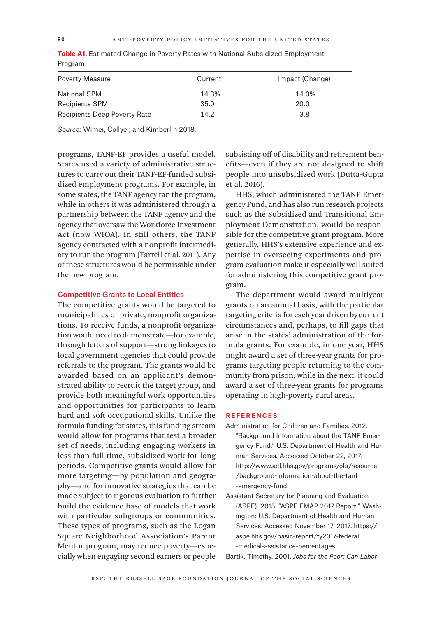| <b>Poverty Measure</b>       | Current | Impact (Change) |
|------------------------------|---------|-----------------|
| <b>National SPM</b>          | 14.3%   | 14.0%           |
| <b>Recipients SPM</b>        | 35.0    | 20.0            |
| Recipients Deep Poverty Rate | 14.2    | 3.8             |

**Table A1.** Estimated Change in Poverty Rates with National Subsidized Employment Program

*Source:* Wimer, Collyer, and Kimberlin 2018.

programs, TANF-EF provides a useful model. States used a variety of administrative structures to carry out their TANF-EF-funded subsidized employment programs. For example, in some states, the TANF agency ran the program, while in others it was administered through a partnership between the TANF agency and the agency that oversaw the Workforce Investment Act (now WIOA). In still others, the TANF agency contracted with a nonprofit intermediary to run the program (Farrell et al. 2011). Any of these structures would be permissible under the new program.

## Competitive Grants to Local Entities

The competitive grants would be targeted to municipalities or private, nonprofit organizations. To receive funds, a nonprofit organization would need to demonstrate—for example, through letters of support—strong linkages to local government agencies that could provide referrals to the program. The grants would be awarded based on an applicant's demonstrated ability to recruit the target group, and provide both meaningful work opportunities and opportunities for participants to learn hard and soft occupational skills. Unlike the formula funding for states, this funding stream would allow for programs that test a broader set of needs, including engaging workers in less-than-full-time, subsidized work for long periods. Competitive grants would allow for more targeting—by population and geography—and for innovative strategies that can be made subject to rigorous evaluation to further build the evidence base of models that work with particular subgroups or communities. These types of programs, such as the Logan Square Neighborhood Association's Parent Mentor program, may reduce poverty—especially when engaging second earners or people

subsisting off of disability and retirement benefits—even if they are not designed to shift people into unsubsidized work (Dutta-Gupta et al. 2016).

HHS, which administered the TANF Emergency Fund, and has also run research projects such as the Subsidized and Transitional Employment Demonstration, would be responsible for the competitive grant program. More generally, HHS's extensive experience and expertise in overseeing experiments and program evaluation make it especially well suited for administering this competitive grant program.

The department would award multiyear grants on an annual basis, with the particular targeting criteria for each year driven by current circumstances and, perhaps, to fill gaps that arise in the states' administration of the formula grants. For example, in one year, HHS might award a set of three-year grants for programs targeting people returning to the community from prison, while in the next, it could award a set of three-year grants for programs operating in high-poverty rural areas.

#### **REFERENCES**

- Administration for Children and Families. 2012. "Background Information about the TANF Emergency Fund." U.S. Department of Health and Human Services. Accessed October 22, 2017. [http://www.acf.hhs.gov/programs/ofa/resource](http://www.acf.hhs.gov/programs/ofa/resource/background-information-about-the-tanf-emergency-fund.) [/background-information-about-the-tanf](http://www.acf.hhs.gov/programs/ofa/resource/background-information-about-the-tanf-emergency-fund.) [-emergency-fund.](http://www.acf.hhs.gov/programs/ofa/resource/background-information-about-the-tanf-emergency-fund.)
- Assistant Secretary for Planning and Evaluation (ASPE). 2015. "ASPE FMAP 2017 Report." Washington: U.S. Department of Health and Human Services. Accessed November 17, 2017. [https://](https://aspe.hhs.gov/basic-report/fy2017-federal-medical-assistance-percentages.) [aspe.hhs.gov/basic-report/fy2017-federal](https://aspe.hhs.gov/basic-report/fy2017-federal-medical-assistance-percentages.) [-medical-assistance-percentages.](https://aspe.hhs.gov/basic-report/fy2017-federal-medical-assistance-percentages.)

Bartik, Timothy. 2001. *Jobs for the Poor: Can Labor*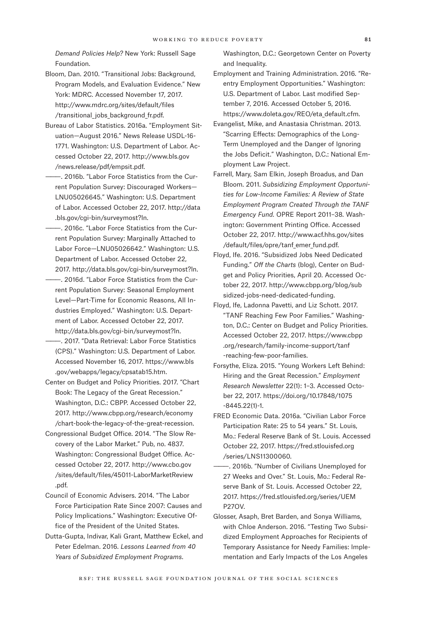*Demand Policies Help?* New York: Russell Sage Foundation.

- Bloom, Dan. 2010. "Transitional Jobs: Background, Program Models, and Evaluation Evidence." New York: MDRC. Accessed November 17, 2017. [http://www.mdrc.org/sites/default/files](http://www.mdrc.org/sites/default/files/transitional_jobs_background_fr.pdf.) [/transitional\\_jobs\\_background\\_fr.pdf.](http://www.mdrc.org/sites/default/files/transitional_jobs_background_fr.pdf.)
- Bureau of Labor Statistics. 2016a. "Employment Situation—August 2016." News Release USDL-16- 1771. Washington: U.S. Department of Labor. Accessed October 22, 2017. [http://www.bls.gov](http://www.bls.gov/news.release/pdf/empsit.pdf.) [/news.release/pdf/empsit.pdf.](http://www.bls.gov/news.release/pdf/empsit.pdf.)
	- ———. 2016b. "Labor Force Statistics from the Current Population Survey: Discouraged Workers— LNU05026645." Washington: U.S. Department of Labor. Accessed October 22, 2017. [http://data](http://data.bls.gov/cgi-bin/surveymost?ln.
) [.bls.gov/cgi-bin/surveymost?ln.](http://data.bls.gov/cgi-bin/surveymost?ln.
)
- ———. 2016c. "Labor Force Statistics from the Current Population Survey: Marginally Attached to Labor Force—LNU05026642." Washington: U.S. Department of Labor. Accessed October 22,
- 2017. [http://data.bls.gov/cgi-bin/surveymost?ln.](http://data.bls.gov/cgi-bin/surveymost?ln.
) ———. 2016d. "Labor Force Statistics from the Current Population Survey: Seasonal Employment Level—Part-Time for Economic Reasons, All Industries Employed." Washington: U.S. Department of Labor. Accessed October 22, 2017. [http://data.bls.gov/cgi-bin/surveymost?ln.](http://data.bls.gov/cgi-bin/surveymost?ln.
)
- ———. 2017. "Data Retrieval: Labor Force Statistics (CPS)." Washington: U.S. Department of Labor. Accessed November 16, 2017. [https://www.bls](https://www.bls.gov/webapps/legacy/cpsatab15.htm. 
) [.gov/webapps/legacy/cpsatab15.htm.](https://www.bls.gov/webapps/legacy/cpsatab15.htm. 
)
- Center on Budget and Policy Priorities. 2017. "Chart Book: The Legacy of the Great Recession." Washington, D.C.: CBPP. Accessed October 22, 2017. [http://www.cbpp.org/research/economy](http://www.cbpp.org/research/economy/chart-book-the-legacy-of-the-great-recession.) [/chart-book-the-legacy-of-the-great-recession.](http://www.cbpp.org/research/economy/chart-book-the-legacy-of-the-great-recession.)
- Congressional Budget Office. 2014. "The Slow Recovery of the Labor Market." Pub, no. 4837. Washington: Congressional Budget Office. Accessed October 22, 2017. [http://www.cbo.gov](http://www.cbo.gov/sites/default/files/45011-LaborMarketReview.pdf.) [/sites/default/files/45011-LaborMarketReview](http://www.cbo.gov/sites/default/files/45011-LaborMarketReview.pdf.) [.pdf.](http://www.cbo.gov/sites/default/files/45011-LaborMarketReview.pdf.)
- Council of Economic Advisers. 2014. "The Labor Force Participation Rate Since 2007: Causes and Policy Implications." Washington: Executive Office of the President of the United States.
- Dutta-Gupta, Indivar, Kali Grant, Matthew Eckel, and Peter Edelman. 2016. *Lessons Learned from 40 Years of Subsidized Employment Programs*.

Washington, D.C.: Georgetown Center on Poverty and Inequality.

- Employment and Training Administration. 2016. "Reentry Employment Opportunities." Washington: U.S. Department of Labor. Last modified September 7, 2016. Accessed October 5, 2016. [https://www.doleta.gov/REO/eta\\_default.cfm.](https://www.doleta.gov/REO/eta_default.cfm.)
- Evangelist, Mike, and Anastasia Christman. 2013. "Scarring Effects: Demographics of the Long-Term Unemployed and the Danger of Ignoring the Jobs Deficit." Washington, D.C.: National Employment Law Project.
- Farrell, Mary, Sam Elkin, Joseph Broadus, and Dan Bloom. 2011. *Subsidizing Employment Opportunities for Low-Income Families: A Review of State Employment Program Created Through the TANF Emergency Fund.* OPRE Report 2011–38. Washington: Government Printing Office. Accessed October 22, 2017. [http://www.acf.hhs.gov/sites](http://www.acf.hhs.gov/sites/default/files/opre/tanf_emer_fund.pdf.) [/default/files/opre/tanf\\_emer\\_fund.pdf.](http://www.acf.hhs.gov/sites/default/files/opre/tanf_emer_fund.pdf.)
- Floyd, Ife. 2016. "Subsidized Jobs Need Dedicated Funding." *Off the Charts* (blog), Center on Budget and Policy Priorities, April 20. Accessed October 22, 2017. [http://www.cbpp.org/blog/sub](http://www.cbpp.org/blog/subsidized-jobs-need-dedicated-funding.) [sidized-jobs-need-dedicated-funding.](http://www.cbpp.org/blog/subsidized-jobs-need-dedicated-funding.)
- Floyd, Ife, Ladonna Pavetti, and Liz Schott. 2017. "TANF Reaching Few Poor Families." Washington, D.C.: Center on Budget and Policy Priorities. Accessed October 22, 2017. [https://www.cbpp](https://www.cbpp.org/research/family-income-support/tanf-reaching-few-poor-families.) [.org/research/family-income-support/tanf](https://www.cbpp.org/research/family-income-support/tanf-reaching-few-poor-families.) [-reaching-few-poor-families.](https://www.cbpp.org/research/family-income-support/tanf-reaching-few-poor-families.)
- Forsythe, Eliza. 2015. "Young Workers Left Behind: Hiring and the Great Recession." *Employment Research Newsletter* 22(1): 1–3. Accessed October 22, 2017. [https://doi.org/10.17848/1075](https://doi.org/10.17848/1075-8445.22(1)-1.) [-8445.22\(1\)-1.](https://doi.org/10.17848/1075-8445.22(1)-1.)
- FRED Economic Data. 2016a. "Civilian Labor Force Participation Rate: 25 to 54 years." St. Louis, Mo.: Federal Reserve Bank of St. Louis. Accessed October 22, 2017. [https://fred.stlouisfed.org](https://fred.stlouisfed.org/series/LNS11300060.) [/series/LNS11300060.](https://fred.stlouisfed.org/series/LNS11300060.)
- -. 2016b. "Number of Civilians Unemployed for 27 Weeks and Over." St. Louis, Mo.: Federal Reserve Bank of St. Louis. Accessed October 22, 2017. [https://fred.stlouisfed.org/series/UEM](https://fred.stlouisfed.org/series/UEMP27OV.
) [P27OV.](https://fred.stlouisfed.org/series/UEMP27OV.
)
- Glosser, Asaph, Bret Barden, and Sonya Williams, with Chloe Anderson. 2016. "Testing Two Subsidized Employment Approaches for Recipients of Temporary Assistance for Needy Families: Implementation and Early Impacts of the Los Angeles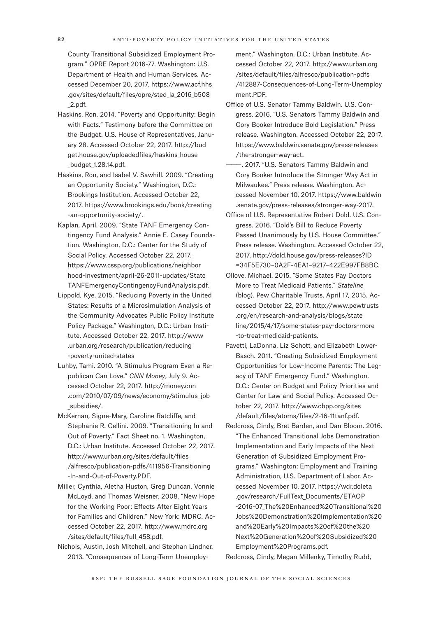County Transitional Subsidized Employment Program." OPRE Report 2016-77. Washington: U.S. Department of Health and Human Services. Accessed December 20, 2017. [https://www.acf.hhs](https://www.acf.hhs.gov/sites/default/files/opre/sted_la_2016_b508_2.pdf.) [.gov/sites/default/files/opre/sted\\_la\\_2016\\_b508](https://www.acf.hhs.gov/sites/default/files/opre/sted_la_2016_b508_2.pdf.) [\\_2.pdf.](https://www.acf.hhs.gov/sites/default/files/opre/sted_la_2016_b508_2.pdf.)

- Haskins, Ron. 2014. "Poverty and Opportunity: Begin with Facts." Testimony before the Committee on the Budget. U.S. House of Representatives, January 28. Accessed October 22, 2017. [http://bud](http://budget.house.gov/uploadedfiles/haskins_house_budget_1.28.14.pdf.) [get.house.gov/uploadedfiles/haskins\\_house](http://budget.house.gov/uploadedfiles/haskins_house_budget_1.28.14.pdf.) [\\_budget\\_1.28.14.pdf.](http://budget.house.gov/uploadedfiles/haskins_house_budget_1.28.14.pdf.)
- Haskins, Ron, and Isabel V. Sawhill. 2009. "Creating an Opportunity Society." Washington, D.C.: Brookings Institution. Accessed October 22, 2017. [https://www.brookings.edu/book/creating](https://www.brookings.edu/book/creating-an-opportunity-society/.) [-an-opportunity-society/.](https://www.brookings.edu/book/creating-an-opportunity-society/.)
- Kaplan, April. 2009. "State TANF Emergency Contingency Fund Analysis." Annie E. Casey Foundation. Washington, D.C.: Center for the Study of Social Policy. Accessed October 22, 2017. [https://www.cssp.org/publications/neighbor](https://www.cssp.org/publications/neighborhood-investment/april-26-2011-updates/StateTANFEmergencyContingencyFundAnalysis.pdf.) [hood-investment/april-26-2011-updates/State](https://www.cssp.org/publications/neighborhood-investment/april-26-2011-updates/StateTANFEmergencyContingencyFundAnalysis.pdf.) [TANFEmergencyContingencyFundAnalysis.pdf.](https://www.cssp.org/publications/neighborhood-investment/april-26-2011-updates/StateTANFEmergencyContingencyFundAnalysis.pdf.)
- Lippold, Kye. 2015. "Reducing Poverty in the United States: Results of a Microsimulation Analysis of the Community Advocates Public Policy Institute Policy Package." Washington, D.C.: Urban Institute. Accessed October 22, 2017. [http://www](http://www.urban.org/research/publication/reducing-poverty-united-states) [.urban.org/research/publication/reducing](http://www.urban.org/research/publication/reducing-poverty-united-states) [-poverty-united-states](http://www.urban.org/research/publication/reducing-poverty-united-states)
- Luhby, Tami. 2010. "A Stimulus Program Even a Republican Can Love." *CNN Money*, July 9. Accessed October 22, 2017. [http://money.cnn](http://money.cnn.com/2010/07/09/news/economy/stimulus_job_subsidies/.) [.com/2010/07/09/news/economy/stimulus\\_job](http://money.cnn.com/2010/07/09/news/economy/stimulus_job_subsidies/.) subsidies/.
- McKernan, Signe-Mary, Caroline Ratcliffe, and Stephanie R. Cellini. 2009. "Transitioning In and Out of Poverty." Fact Sheet no. 1. Washington, D.C.: Urban Institute. Accessed October 22, 2017. [http://www.urban.org/sites/default/files](http://www.urban.org/sites/default/files/alfresco/publication-pdfs/411956-Transitioning-In-and-Out-of-Poverty.PDF.) [/alfresco/publication-pdfs/411956-Transitioning](http://www.urban.org/sites/default/files/alfresco/publication-pdfs/411956-Transitioning-In-and-Out-of-Poverty.PDF.) [-In-and-Out-of-Poverty.PDF.](http://www.urban.org/sites/default/files/alfresco/publication-pdfs/411956-Transitioning-In-and-Out-of-Poverty.PDF.)
- Miller, Cynthia, Aletha Huston, Greg Duncan, Vonnie McLoyd, and Thomas Weisner. 2008. "New Hope for the Working Poor: Effects After Eight Years for Families and Children." New York: MDRC. Accessed October 22, 2017. [http://www.mdrc.org](http://www.mdrc.org/sites/default/files/full_458.pdf.) [/sites/default/files/full\\_458.pdf.](http://www.mdrc.org/sites/default/files/full_458.pdf.)
- Nichols, Austin, Josh Mitchell, and Stephan Lindner. 2013. "Consequences of Long-Term Unemploy-

ment." Washington, D.C.: Urban Institute. Accessed October 22, 2017. [http://www.urban.org](http://www.urban.org/sites/default/files/alfresco/publication-pdfs/412887-Consequences-of-Long-Term-Unemployment.PDF.) [/sites/default/files/alfresco/publication-pdfs](http://www.urban.org/sites/default/files/alfresco/publication-pdfs/412887-Consequences-of-Long-Term-Unemployment.PDF.) [/412887-Consequences-of-Long-Term-Unemploy](http://www.urban.org/sites/default/files/alfresco/publication-pdfs/412887-Consequences-of-Long-Term-Unemployment.PDF.) [ment.PDF.](http://www.urban.org/sites/default/files/alfresco/publication-pdfs/412887-Consequences-of-Long-Term-Unemployment.PDF.)

- Office of U.S. Senator Tammy Baldwin. U.S. Congress. 2016. "U.S. Senators Tammy Baldwin and Cory Booker Introduce Bold Legislation." Press release. Washington. Accessed October 22, 2017. [https://www.baldwin.senate.gov/press-releases](https://www.baldwin.senate.gov/press-releases/the-stronger-way-act.) [/the-stronger-way-act.](https://www.baldwin.senate.gov/press-releases/the-stronger-way-act.)
- -. 2017. "U.S. Senators Tammy Baldwin and Cory Booker Introduce the Stronger Way Act in Milwaukee." Press release. Washington. Accessed November 10, 2017. [https://www.baldwin](https://www.baldwin.senate.gov/press-releases/stronger-way-2017.
) [.senate.gov/press-releases/stronger-way-2017.](https://www.baldwin.senate.gov/press-releases/stronger-way-2017.
)
- Office of U.S. Representative Robert Dold. U.S. Congress. 2016. "Dold's Bill to Reduce Poverty Passed Unanimously by U.S. House Committee." Press release. Washington. Accessed October 22, 2017. [http://dold.house.gov/press-releases?ID](http://dold.house.gov/press-releases?ID=34F5E730–0A2F-4EA1–9217–422E997FB8BC.) [=34F5E730–0A2F-4EA1–9217–422E997FB8BC.](http://dold.house.gov/press-releases?ID=34F5E730–0A2F-4EA1–9217–422E997FB8BC.)
- Ollove, Michael. 2015. "Some States Pay Doctors More to Treat Medicaid Patients." *Stateline* (blog). Pew Charitable Trusts, April 17, 2015. Accessed October 22, 2017. [http://www.pewtrusts](http://www.pewtrusts.org/en/research-and-analysis/blogs/stateline/2015/4/17/some-states-pay-doctors-more-to-treat-medicaid-patients.) [.org/en/research-and-analysis/blogs/state](http://www.pewtrusts.org/en/research-and-analysis/blogs/stateline/2015/4/17/some-states-pay-doctors-more-to-treat-medicaid-patients.) [line/2015/4/17/some-states-pay-doctors-more](http://www.pewtrusts.org/en/research-and-analysis/blogs/stateline/2015/4/17/some-states-pay-doctors-more-to-treat-medicaid-patients.) [-to-treat-medicaid-patients.](http://www.pewtrusts.org/en/research-and-analysis/blogs/stateline/2015/4/17/some-states-pay-doctors-more-to-treat-medicaid-patients.)
- Pavetti, LaDonna, Liz Schott, and Elizabeth Lower-Basch. 2011. "Creating Subsidized Employment Opportunities for Low-Income Parents: The Legacy of TANF Emergency Fund." Washington, D.C.: Center on Budget and Policy Priorities and Center for Law and Social Policy. Accessed October 22, 2017. [http://www.cbpp.org/sites](http://www.cbpp.org/sites/default/files/atoms/files/2-16-11tanf.pdf.) [/default/files/atoms/files/2-16-11tanf.pdf.](http://www.cbpp.org/sites/default/files/atoms/files/2-16-11tanf.pdf.)
- Redcross, Cindy, Bret Barden, and Dan Bloom. 2016. "The Enhanced Transitional Jobs Demonstration Implementation and Early Impacts of the Next Generation of Subsidized Employment Programs." Washington: Employment and Training Administration, U.S. Department of Labor. Accessed November 10, 2017. [https://wdr.doleta](https://wdr.doleta.gov/research/FullText_Documents/ETAOP-2016-07_The%20Enhanced%20Transitional%20Jobs%20Demonstration%20Implementation%20and%20Early%20Impacts%20of%20the%20Next%20Generation%20of%20Subsidized%20Employment%20Programs.pdf.) [.gov/research/FullText\\_Documents/ETAOP](https://wdr.doleta.gov/research/FullText_Documents/ETAOP-2016-07_The%20Enhanced%20Transitional%20Jobs%20Demonstration%20Implementation%20and%20Early%20Impacts%20of%20the%20Next%20Generation%20of%20Subsidized%20Employment%20Programs.pdf.) [-2016-07\\_The%20Enhanced%20Transitional%20](https://wdr.doleta.gov/research/FullText_Documents/ETAOP-2016-07_The%20Enhanced%20Transitional%20Jobs%20Demonstration%20Implementation%20and%20Early%20Impacts%20of%20the%20Next%20Generation%20of%20Subsidized%20Employment%20Programs.pdf.) [Jobs%20Demonstration%20Implementation%20](https://wdr.doleta.gov/research/FullText_Documents/ETAOP-2016-07_The%20Enhanced%20Transitional%20Jobs%20Demonstration%20Implementation%20and%20Early%20Impacts%20of%20the%20Next%20Generation%20of%20Subsidized%20Employment%20Programs.pdf.) [and%20Early%20Impacts%20of%20the%20](https://wdr.doleta.gov/research/FullText_Documents/ETAOP-2016-07_The%20Enhanced%20Transitional%20Jobs%20Demonstration%20Implementation%20and%20Early%20Impacts%20of%20the%20Next%20Generation%20of%20Subsidized%20Employment%20Programs.pdf.) [Next%20Generation%20of%20Subsidized%20](https://wdr.doleta.gov/research/FullText_Documents/ETAOP-2016-07_The%20Enhanced%20Transitional%20Jobs%20Demonstration%20Implementation%20and%20Early%20Impacts%20of%20the%20Next%20Generation%20of%20Subsidized%20Employment%20Programs.pdf.) [Employment%20Programs.pdf.](https://wdr.doleta.gov/research/FullText_Documents/ETAOP-2016-07_The%20Enhanced%20Transitional%20Jobs%20Demonstration%20Implementation%20and%20Early%20Impacts%20of%20the%20Next%20Generation%20of%20Subsidized%20Employment%20Programs.pdf.)

Redcross, Cindy, Megan Millenky, Timothy Rudd,